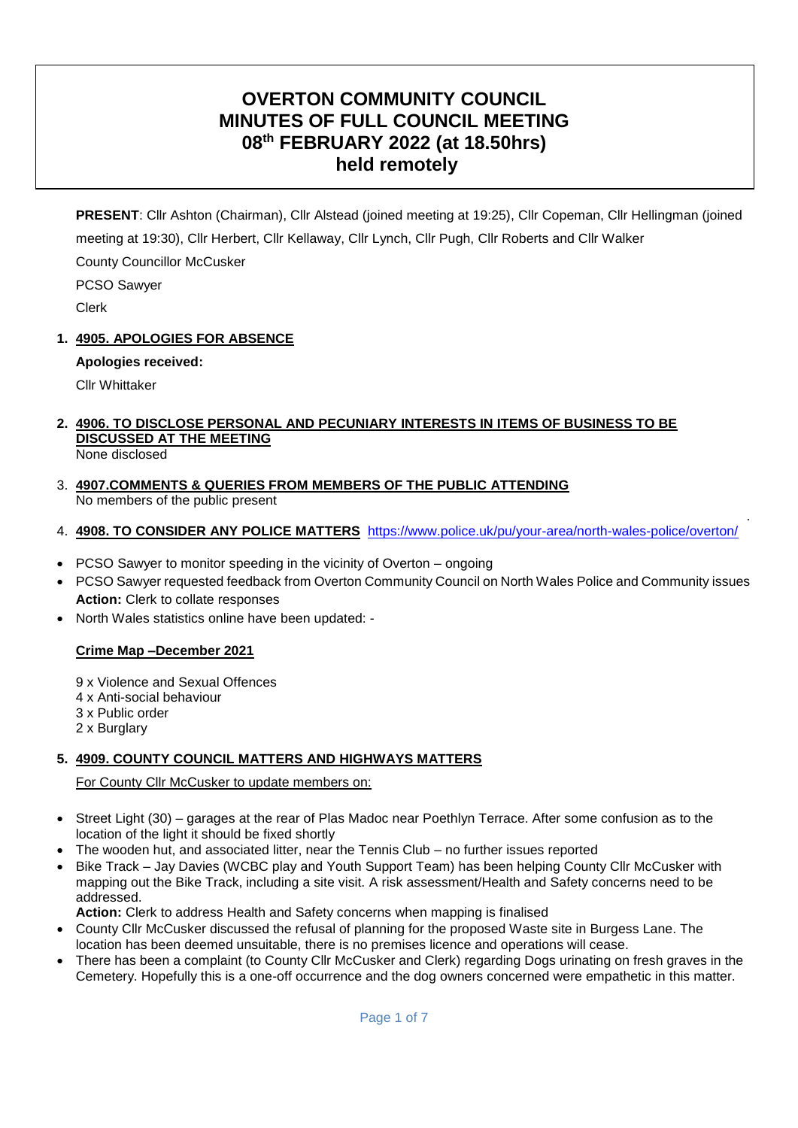# **OVERTON COMMUNITY COUNCIL MINUTES OF FULL COUNCIL MEETING 08th FEBRUARY 2022 (at 18.50hrs) held remotely**

**PRESENT**: Cllr Ashton (Chairman), Cllr Alstead (joined meeting at 19:25), Cllr Copeman, Cllr Hellingman (joined meeting at 19:30), Cllr Herbert, Cllr Kellaway, Cllr Lynch, Cllr Pugh, Cllr Roberts and Cllr Walker County Councillor McCusker

PCSO Sawyer

Clerk

# **1. 4905. APOLOGIES FOR ABSENCE**

# **Apologies received:**

Cllr Whittaker

# **2. 4906. TO DISCLOSE PERSONAL AND PECUNIARY INTERESTS IN ITEMS OF BUSINESS TO BE DISCUSSED AT THE MEETING**

None disclosed

3. **4907.COMMENTS & QUERIES FROM MEMBERS OF THE PUBLIC ATTENDING**  No members of the public present

# 4. **4908. TO CONSIDER ANY POLICE MATTERS** <https://www.police.uk/pu/your-area/north-wales-police/overton/>

.

- PCSO Sawyer to monitor speeding in the vicinity of Overton ongoing
- PCSO Sawyer requested feedback from Overton Community Council on North Wales Police and Community issues **Action:** Clerk to collate responses
- North Wales statistics online have been updated: -

# **Crime Map –December 2021**

9 x Violence and Sexual Offences 4 x Anti-social behaviour 3 x Public order 2 x Burglary

# **5. 4909. COUNTY COUNCIL MATTERS AND HIGHWAYS MATTERS**

For County Cllr McCusker to update members on:

- Street Light (30) garages at the rear of Plas Madoc near Poethlyn Terrace. After some confusion as to the location of the light it should be fixed shortly
- The wooden hut, and associated litter, near the Tennis Club no further issues reported
- Bike Track Jay Davies (WCBC play and Youth Support Team) has been helping County Cllr McCusker with mapping out the Bike Track, including a site visit. A risk assessment/Health and Safety concerns need to be addressed.

**Action:** Clerk to address Health and Safety concerns when mapping is finalised

- County Cllr McCusker discussed the refusal of planning for the proposed Waste site in Burgess Lane. The location has been deemed unsuitable, there is no premises licence and operations will cease.
- There has been a complaint (to County Cllr McCusker and Clerk) regarding Dogs urinating on fresh graves in the Cemetery. Hopefully this is a one-off occurrence and the dog owners concerned were empathetic in this matter.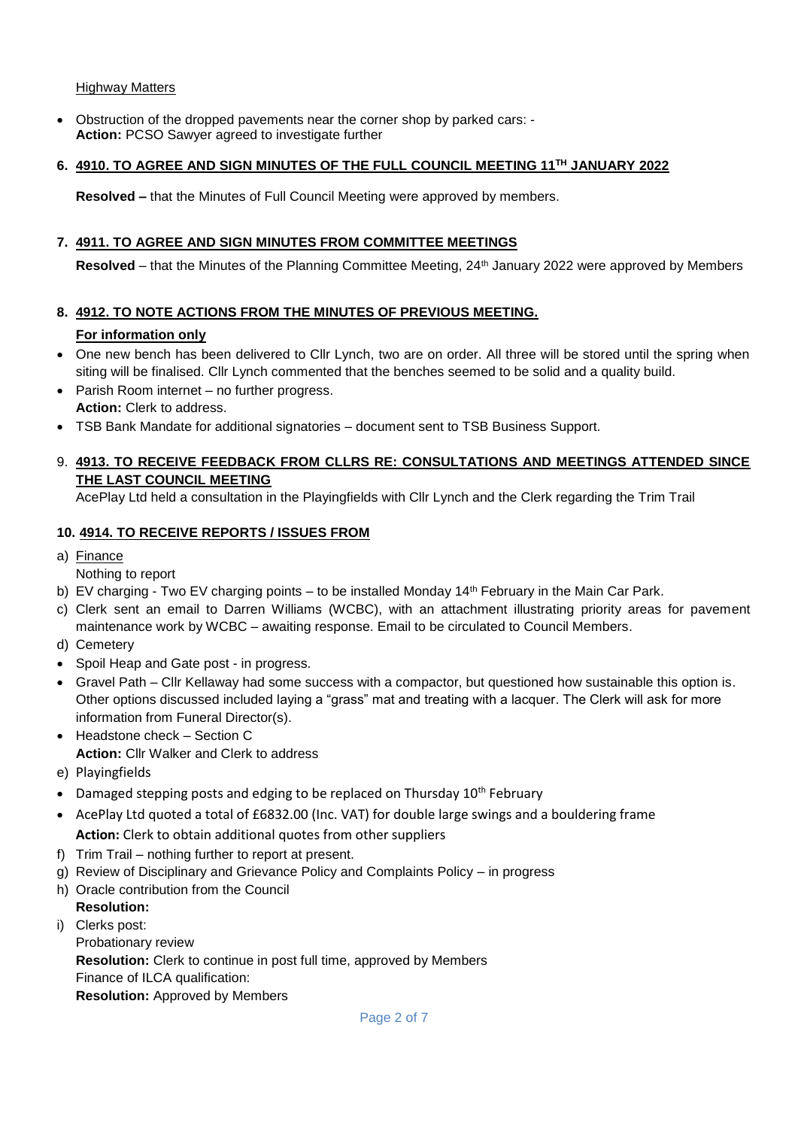#### Highway Matters

 Obstruction of the dropped pavements near the corner shop by parked cars: - **Action:** PCSO Sawyer agreed to investigate further

#### **6. 4910. TO AGREE AND SIGN MINUTES OF THE FULL COUNCIL MEETING 11TH JANUARY 2022**

**Resolved –** that the Minutes of Full Council Meeting were approved by members.

#### **7. 4911. TO AGREE AND SIGN MINUTES FROM COMMITTEE MEETINGS**

**Resolved** – that the Minutes of the Planning Committee Meeting, 24th January 2022 were approved by Members

#### **8. 4912. TO NOTE ACTIONS FROM THE MINUTES OF PREVIOUS MEETING.**

## **For information only**

- One new bench has been delivered to Cllr Lynch, two are on order. All three will be stored until the spring when siting will be finalised. Cllr Lynch commented that the benches seemed to be solid and a quality build.
- Parish Room internet no further progress. **Action:** Clerk to address.
- TSB Bank Mandate for additional signatories document sent to TSB Business Support.

## 9. **4913. TO RECEIVE FEEDBACK FROM CLLRS RE: CONSULTATIONS AND MEETINGS ATTENDED SINCE THE LAST COUNCIL MEETING**

AcePlay Ltd held a consultation in the Playingfields with Cllr Lynch and the Clerk regarding the Trim Trail

#### **10. 4914. TO RECEIVE REPORTS / ISSUES FROM**

a) Finance

Nothing to report

- b) EV charging Two EV charging points to be installed Monday 14<sup>th</sup> February in the Main Car Park.
- c) Clerk sent an email to Darren Williams (WCBC), with an attachment illustrating priority areas for pavement maintenance work by WCBC – awaiting response. Email to be circulated to Council Members.
- d) Cemetery
- Spoil Heap and Gate post in progress.
- Gravel Path Cllr Kellaway had some success with a compactor, but questioned how sustainable this option is. Other options discussed included laying a "grass" mat and treating with a lacquer. The Clerk will ask for more information from Funeral Director(s).
- Headstone check Section C **Action:** Cllr Walker and Clerk to address
- e) Playingfields
- $\bullet$  Damaged stepping posts and edging to be replaced on Thursday 10<sup>th</sup> February
- AcePlay Ltd quoted a total of £6832.00 (Inc. VAT) for double large swings and a bouldering frame **Action:** Clerk to obtain additional quotes from other suppliers
- f) Trim Trail nothing further to report at present.
- g) Review of Disciplinary and Grievance Policy and Complaints Policy in progress
- h) Oracle contribution from the Council

# **Resolution:**

i) Clerks post: Probationary review **Resolution:** Clerk to continue in post full time, approved by Members Finance of ILCA qualification: **Resolution:** Approved by Members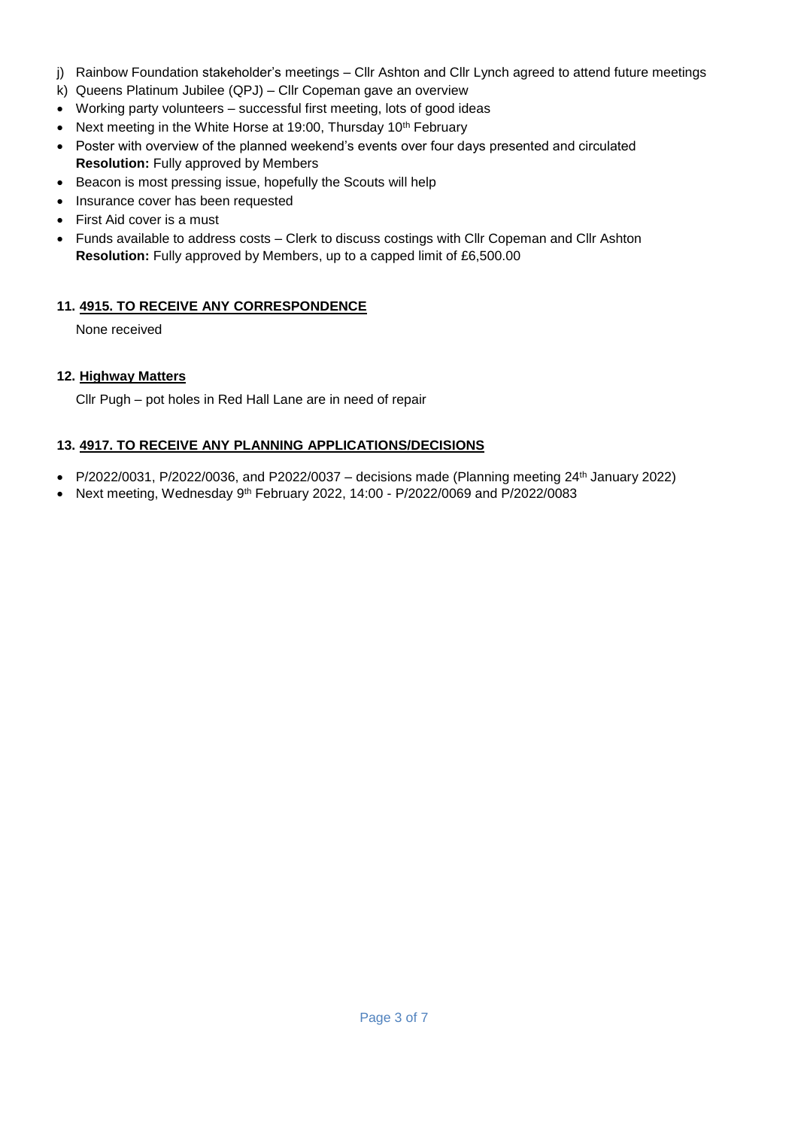- j) Rainbow Foundation stakeholder's meetings Cllr Ashton and Cllr Lynch agreed to attend future meetings
- k) Queens Platinum Jubilee (QPJ) Cllr Copeman gave an overview
- Working party volunteers successful first meeting, lots of good ideas
- Next meeting in the White Horse at 19:00, Thursday 10<sup>th</sup> February
- Poster with overview of the planned weekend's events over four days presented and circulated **Resolution:** Fully approved by Members
- Beacon is most pressing issue, hopefully the Scouts will help
- Insurance cover has been requested
- First Aid cover is a must
- Funds available to address costs Clerk to discuss costings with Cllr Copeman and Cllr Ashton **Resolution:** Fully approved by Members, up to a capped limit of £6,500.00

# **11. 4915. TO RECEIVE ANY CORRESPONDENCE**

None received

## **12. Highway Matters**

Cllr Pugh – pot holes in Red Hall Lane are in need of repair

## **13. 4917. TO RECEIVE ANY PLANNING APPLICATIONS/DECISIONS**

- P/2022/0031, P/2022/0036, and P2022/0037 decisions made (Planning meeting  $24<sup>th</sup>$  January 2022)
- Next meeting, Wednesday 9th February 2022, 14:00 P/2022/0069 and P/2022/0083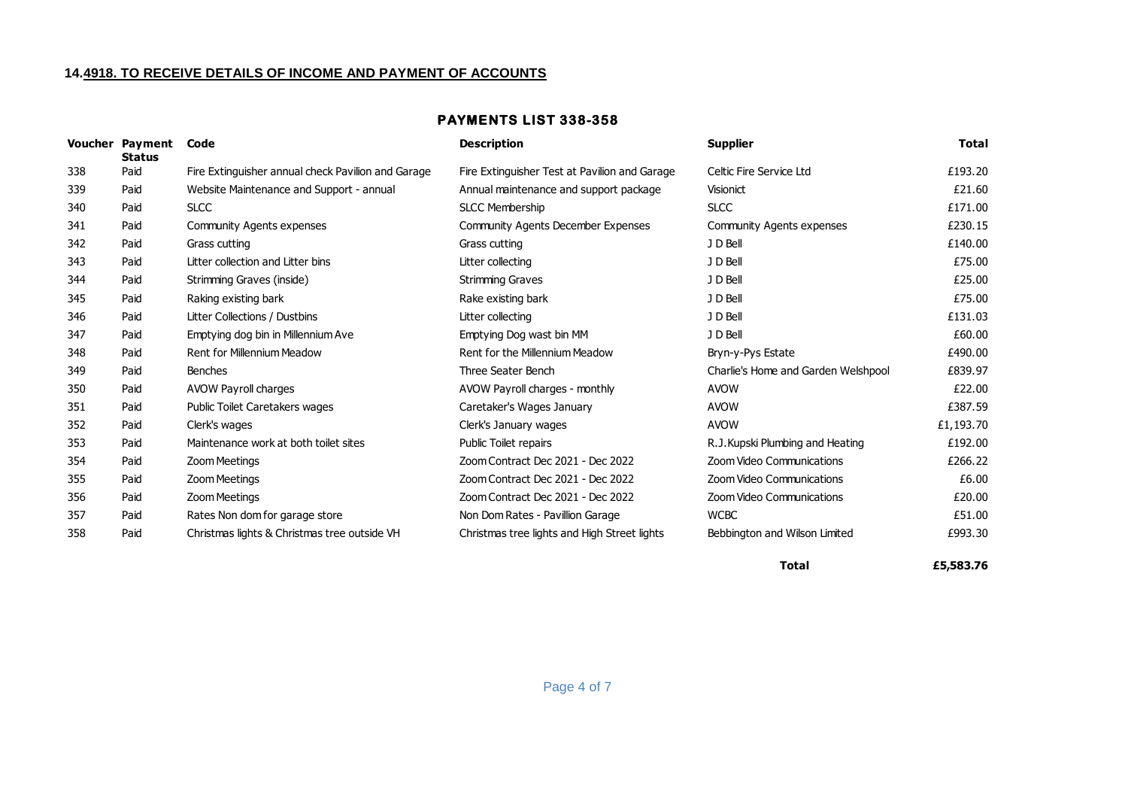#### **14.4918. TO RECEIVE DETAILS OF INCOME AND PAYMENT OF ACCOUNTS**

#### **PAYMENTS LIST 338-358**

|     | <b>Voucher Payment</b><br><b>Status</b> | Code                                               | <b>Description</b>                            | <b>Supplier</b>                     | <b>Total</b> |
|-----|-----------------------------------------|----------------------------------------------------|-----------------------------------------------|-------------------------------------|--------------|
| 338 | Paid                                    | Fire Extinguisher annual check Pavilion and Garage | Fire Extinguisher Test at Pavilion and Garage | Celtic Fire Service Ltd             | £193.20      |
| 339 | Paid                                    | Website Maintenance and Support - annual           | Annual maintenance and support package        | Visionict                           | £21.60       |
| 340 | Paid                                    | <b>SLCC</b>                                        | <b>SLCC Membership</b>                        | <b>SLCC</b>                         | £171.00      |
| 341 | Paid                                    | <b>Community Agents expenses</b>                   | <b>Community Agents December Expenses</b>     | <b>Community Agents expenses</b>    | £230.15      |
| 342 | Paid                                    | Grass cutting                                      | Grass cutting                                 | J D Bell                            | £140.00      |
| 343 | Paid                                    | Litter collection and Litter bins                  | Litter collecting                             | J D Bell                            | £75.00       |
| 344 | Paid                                    | Strimming Graves (inside)                          | <b>Strimming Graves</b>                       | J D Bell                            | £25.00       |
| 345 | Paid                                    | Raking existing bark                               | Rake existing bark                            | J D Bell                            | £75.00       |
| 346 | Paid                                    | Litter Collections / Dustbins                      | Litter collecting                             | J D Bell                            | £131.03      |
| 347 | Paid                                    | Emptying dog bin in Millennium Ave                 | Emptying Dog wast bin MM                      | J D Bell                            | £60.00       |
| 348 | Paid                                    | Rent for Millennium Meadow                         | Rent for the Millennium Meadow                | Bryn-y-Pys Estate                   | £490.00      |
| 349 | Paid                                    | <b>Benches</b>                                     | Three Seater Bench                            | Charlie's Home and Garden Welshpool | £839.97      |
| 350 | Paid                                    | AVOW Payroll charges                               | AVOW Payroll charges - monthly                | <b>AVOW</b>                         | £22.00       |
| 351 | Paid                                    | Public Toilet Caretakers wages                     | Caretaker's Wages January                     | <b>AVOW</b>                         | £387.59      |
| 352 | Paid                                    | Clerk's wages                                      | Clerk's January wages                         | <b>AVOW</b>                         | £1,193.70    |
| 353 | Paid                                    | Maintenance work at both toilet sites              | <b>Public Toilet repairs</b>                  | R.J. Kupski Plumbing and Heating    | £192.00      |
| 354 | Paid                                    | Zoom Meetings                                      | Zoom Contract Dec 2021 - Dec 2022             | Zoom Video Communications           | £266.22      |
| 355 | Paid                                    | <b>Zoom Meetings</b>                               | Zoom Contract Dec 2021 - Dec 2022             | Zoom Video Communications           | £6.00        |
| 356 | Paid                                    | <b>Zoom Meetings</b>                               | Zoom Contract Dec 2021 - Dec 2022             | Zoom Video Communications           | £20.00       |
| 357 | Paid                                    | Rates Non dom for garage store                     | Non Dom Rates - Pavillion Garage              | <b>WCBC</b>                         | £51.00       |
| 358 | Paid                                    | Christmas lights & Christmas tree outside VH       | Christmas tree lights and High Street lights  | Bebbington and Wilson Limited       | £993.30      |

**Total £5,583.76**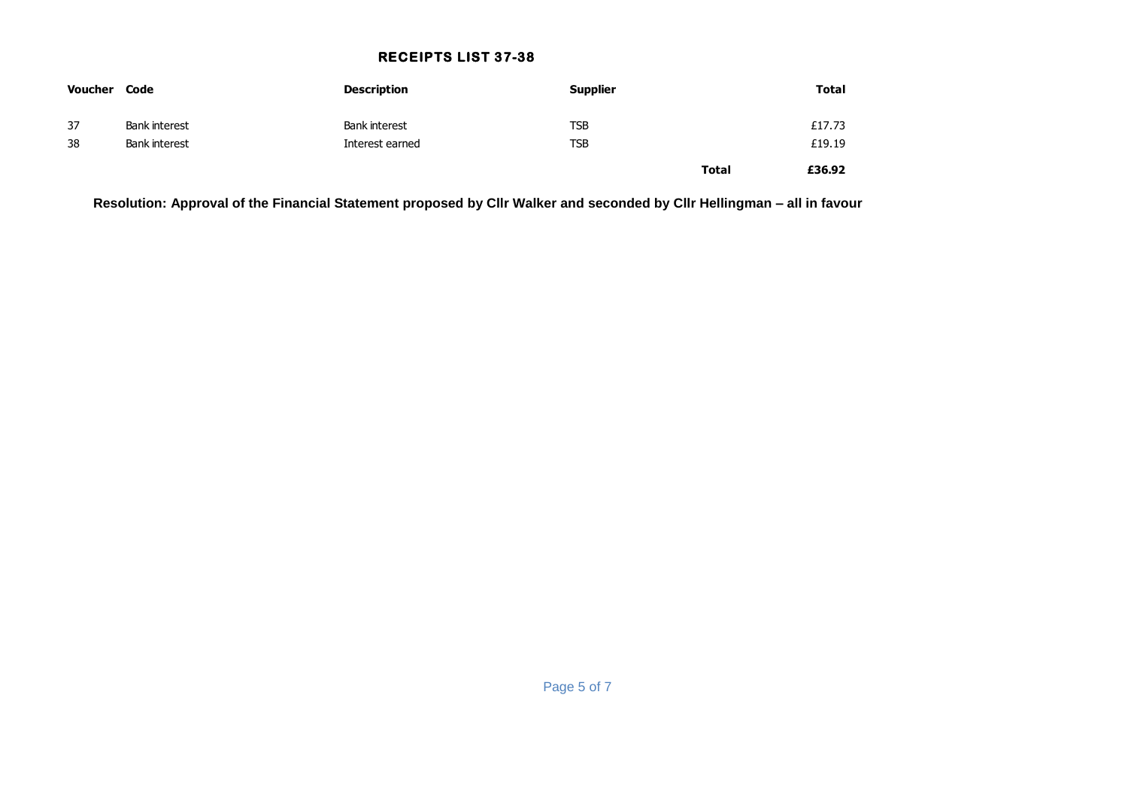## **RECEIPTS LIST 37-38**

| Voucher | Code                 | <b>Description</b> | <b>Supplier</b> |              | <b>Total</b> |
|---------|----------------------|--------------------|-----------------|--------------|--------------|
| 37      | <b>Bank interest</b> | Bank interest      | <b>TSB</b>      |              | £17.73       |
| 38      | <b>Bank interest</b> | Interest earned    | <b>TSB</b>      |              | £19.19       |
|         |                      |                    |                 | <b>Total</b> | £36.92       |

**Resolution: Approval of the Financial Statement proposed by Cllr Walker and seconded by Cllr Hellingman – all in favour**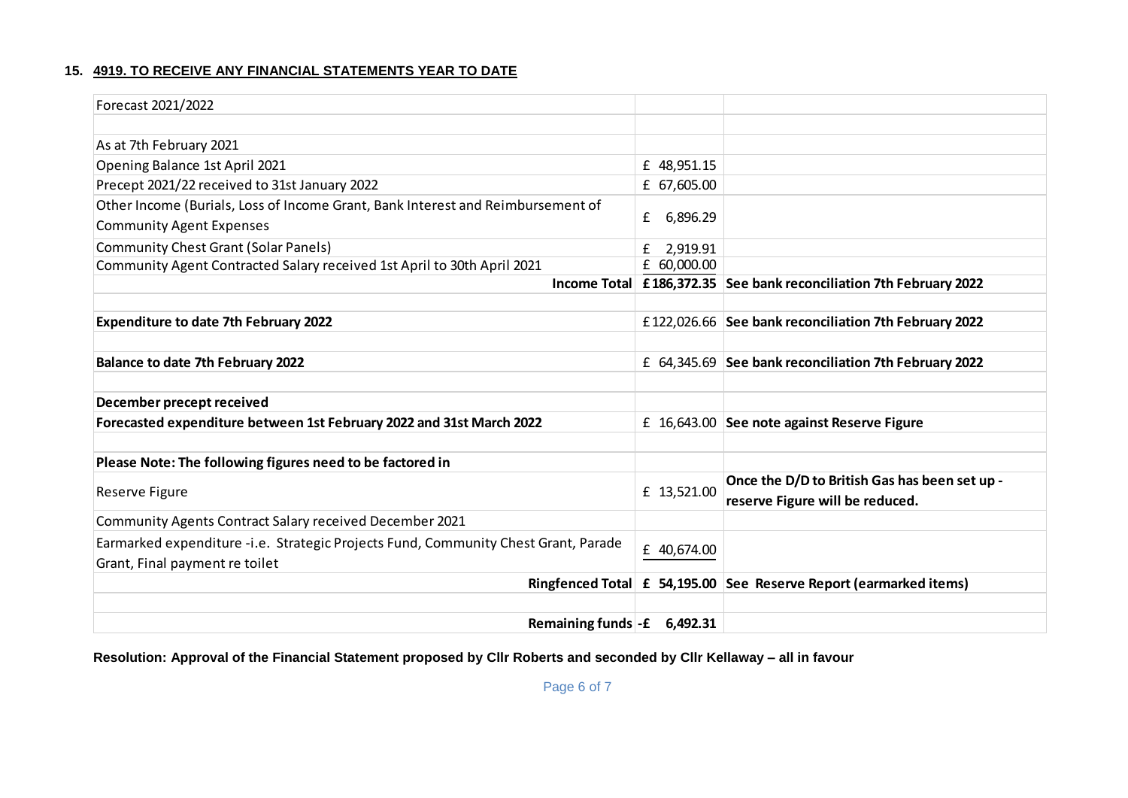# **15. 4919. TO RECEIVE ANY FINANCIAL STATEMENTS YEAR TO DATE**

| Forecast 2021/2022                                                                 |               |                                                                    |
|------------------------------------------------------------------------------------|---------------|--------------------------------------------------------------------|
|                                                                                    |               |                                                                    |
| As at 7th February 2021                                                            |               |                                                                    |
| Opening Balance 1st April 2021                                                     | £ 48,951.15   |                                                                    |
| Precept 2021/22 received to 31st January 2022                                      | £ 67,605.00   |                                                                    |
| Other Income (Burials, Loss of Income Grant, Bank Interest and Reimbursement of    |               |                                                                    |
| <b>Community Agent Expenses</b>                                                    | 6,896.29<br>£ |                                                                    |
| <b>Community Chest Grant (Solar Panels)</b>                                        | 2,919.91<br>£ |                                                                    |
| Community Agent Contracted Salary received 1st April to 30th April 2021            | £ 60,000.00   |                                                                    |
|                                                                                    |               | Income Total £186,372.35 See bank reconciliation 7th February 2022 |
|                                                                                    |               |                                                                    |
| <b>Expenditure to date 7th February 2022</b>                                       |               | £122,026.66 See bank reconciliation 7th February 2022              |
|                                                                                    |               |                                                                    |
| <b>Balance to date 7th February 2022</b>                                           |               | £ 64,345.69 See bank reconciliation 7th February 2022              |
|                                                                                    |               |                                                                    |
| December precept received                                                          |               |                                                                    |
| Forecasted expenditure between 1st February 2022 and 31st March 2022               |               | £ 16,643.00 See note against Reserve Figure                        |
|                                                                                    |               |                                                                    |
| Please Note: The following figures need to be factored in                          |               |                                                                    |
|                                                                                    | £ 13,521.00   | Once the D/D to British Gas has been set up -                      |
| Reserve Figure                                                                     |               | reserve Figure will be reduced.                                    |
| Community Agents Contract Salary received December 2021                            |               |                                                                    |
| Earmarked expenditure -i.e. Strategic Projects Fund, Community Chest Grant, Parade | £ 40,674.00   |                                                                    |
| Grant, Final payment re toilet                                                     |               |                                                                    |
|                                                                                    |               | Ringfenced Total £ 54,195.00 See Reserve Report (earmarked items)  |
|                                                                                    |               |                                                                    |
| Remaining funds $-$ <b>£</b>                                                       | 6,492.31      |                                                                    |

**Resolution: Approval of the Financial Statement proposed by Cllr Roberts and seconded by Cllr Kellaway – all in favour**

Page 6 of 7